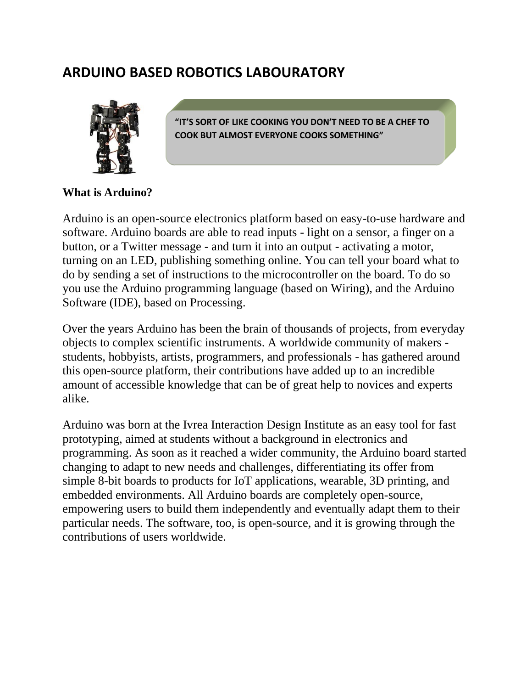## **ARDUINO BASED ROBOTICS LABOURATORY**



**"IT'S SORT OF LIKE COOKING YOU DON'T NEED TO BE A CHEF TO COOK BUT ALMOST EVERYONE COOKS SOMETHING"**

**What is Arduino?**

Arduino is an open-source electronics platform based on easy-to-use hardware and software. [Arduino boards](https://www.arduino.cc/en/Main/Products) are able to read inputs - light on a sensor, a finger on a button, or a Twitter message - and turn it into an output - activating a motor, turning on an LED, publishing something online. You can tell your board what to do by sending a set of instructions to the microcontroller on the board. To do so you use the [Arduino programming language](https://www.arduino.cc/en/Reference/HomePage) (based on [Wiring\)](http://wiring.org.co/), and [the Arduino](https://www.arduino.cc/en/Main/Software)  [Software \(IDE\),](https://www.arduino.cc/en/Main/Software) based on [Processing.](https://processing.org/)

Over the years Arduino has been the brain of thousands of projects, from everyday objects to complex scientific instruments. A worldwide community of makers students, hobbyists, artists, programmers, and professionals - has gathered around this open-source platform, their contributions have added up to an incredible amount of [accessible knowledge](http://forum.arduino.cc/) that can be of great help to novices and experts alike.

Arduino was born at the Ivrea Interaction Design Institute as an easy tool for fast prototyping, aimed at students without a background in electronics and programming. As soon as it reached a wider community, the Arduino board started changing to adapt to new needs and challenges, differentiating its offer from simple 8-bit boards to products for IoT applications, wearable, 3D printing, and embedded environments. All Arduino boards are completely open-source, empowering users to build them independently and eventually adapt them to their particular needs. The [software,](https://www.arduino.cc/en/Main/Software) too, is open-source, and it is growing through the contributions of users worldwide.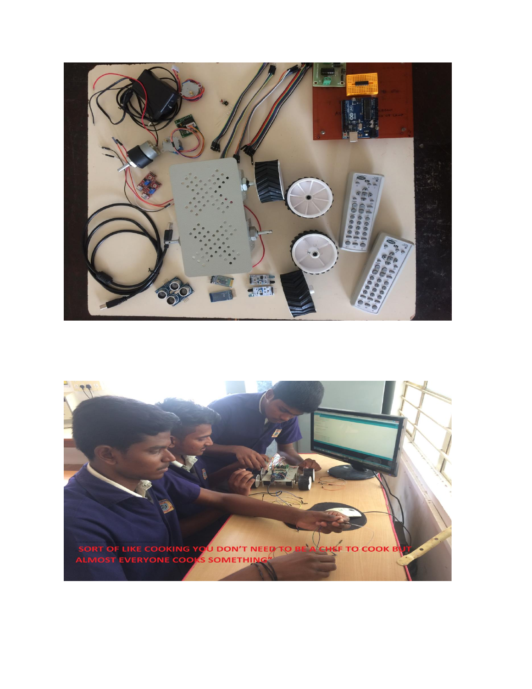

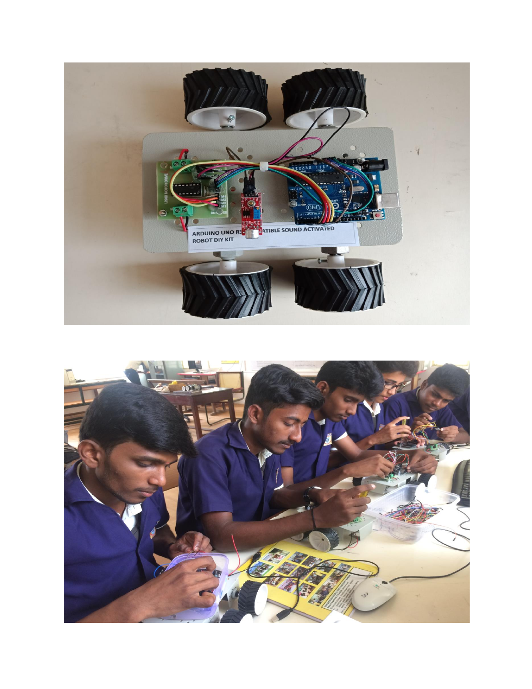